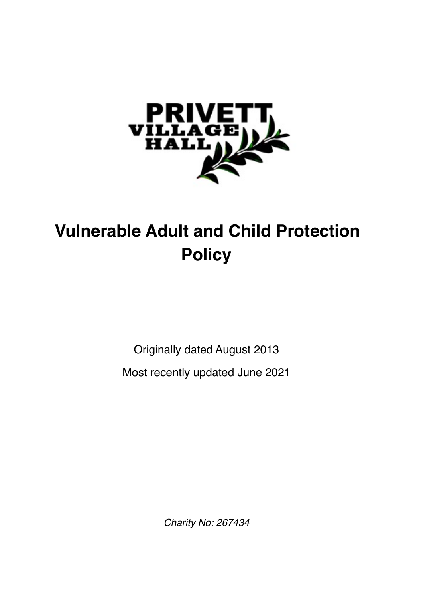

# **Vulnerable Adult and Child Protection Policy**

Originally dated August 2013

Most recently updated June 2021

*Charity No: 267434*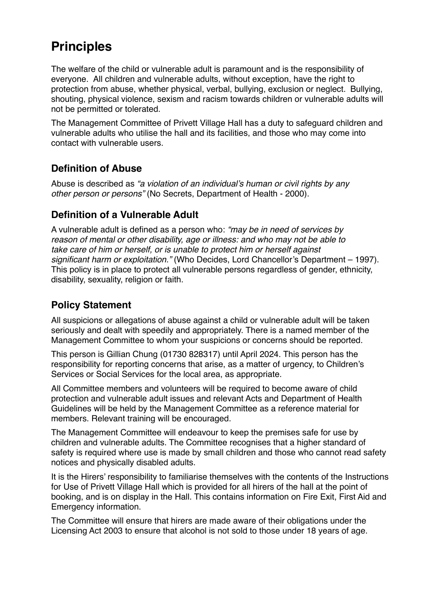# **Principles**

The welfare of the child or vulnerable adult is paramount and is the responsibility of everyone. All children and vulnerable adults, without exception, have the right to protection from abuse, whether physical, verbal, bullying, exclusion or neglect. Bullying, shouting, physical violence, sexism and racism towards children or vulnerable adults will not be permitted or tolerated.

The Management Committee of Privett Village Hall has a duty to safeguard children and vulnerable adults who utilise the hall and its facilities, and those who may come into contact with vulnerable users.

#### **Definition of Abuse**

Abuse is described as *"a violation of an individual's human or civil rights by any other person or persons"* (No Secrets, Department of Health - 2000).

## **Definition of a Vulnerable Adult**

A vulnerable adult is defined as a person who: *"may be in need of services by reason of mental or other disability, age or illness: and who may not be able to take care of him or herself, or is unable to protect him or herself against significant harm or exploitation."* (Who Decides, Lord Chancellor's Department – 1997). This policy is in place to protect all vulnerable persons regardless of gender, ethnicity, disability, sexuality, religion or faith.

## **Policy Statement**

All suspicions or allegations of abuse against a child or vulnerable adult will be taken seriously and dealt with speedily and appropriately. There is a named member of the Management Committee to whom your suspicions or concerns should be reported.

This person is Gillian Chung (01730 828317) until April 2024. This person has the responsibility for reporting concerns that arise, as a matter of urgency, to Children's Services or Social Services for the local area, as appropriate.

All Committee members and volunteers will be required to become aware of child protection and vulnerable adult issues and relevant Acts and Department of Health Guidelines will be held by the Management Committee as a reference material for members. Relevant training will be encouraged.

The Management Committee will endeavour to keep the premises safe for use by children and vulnerable adults. The Committee recognises that a higher standard of safety is required where use is made by small children and those who cannot read safety notices and physically disabled adults.

It is the Hirers' responsibility to familiarise themselves with the contents of the Instructions for Use of Privett Village Hall which is provided for all hirers of the hall at the point of booking, and is on display in the Hall. This contains information on Fire Exit, First Aid and Emergency information.

The Committee will ensure that hirers are made aware of their obligations under the Licensing Act 2003 to ensure that alcohol is not sold to those under 18 years of age.